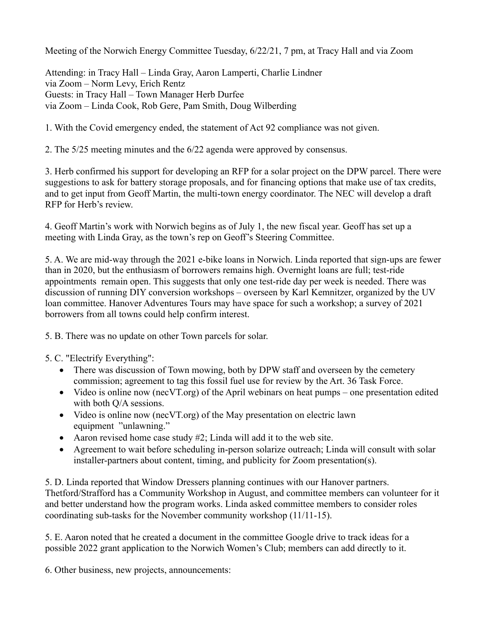Meeting of the Norwich Energy Committee Tuesday, 6/22/21, 7 pm, at Tracy Hall and via Zoom

Attending: in Tracy Hall – Linda Gray, Aaron Lamperti, Charlie Lindner via Zoom – Norm Levy, Erich Rentz Guests: in Tracy Hall – Town Manager Herb Durfee via Zoom – Linda Cook, Rob Gere, Pam Smith, Doug Wilberding

1. With the Covid emergency ended, the statement of Act 92 compliance was not given.

2. The 5/25 meeting minutes and the 6/22 agenda were approved by consensus.

3. Herb confirmed his support for developing an RFP for a solar project on the DPW parcel. There were suggestions to ask for battery storage proposals, and for financing options that make use of tax credits, and to get input from Geoff Martin, the multi-town energy coordinator. The NEC will develop a draft RFP for Herb's review.

4. Geoff Martin's work with Norwich begins as of July 1, the new fiscal year. Geoff has set up a meeting with Linda Gray, as the town's rep on Geoff's Steering Committee.

5. A. We are mid-way through the 2021 e-bike loans in Norwich. Linda reported that sign-ups are fewer than in 2020, but the enthusiasm of borrowers remains high. Overnight loans are full; test-ride appointments remain open. This suggests that only one test-ride day per week is needed. There was discussion of running DIY conversion workshops – overseen by Karl Kemnitzer, organized by the UV loan committee. Hanover Adventures Tours may have space for such a workshop; a survey of 2021 borrowers from all towns could help confirm interest.

5. B. There was no update on other Town parcels for solar.

- 5. C. "Electrify Everything":
	- There was discussion of Town mowing, both by DPW staff and overseen by the cemetery commission; agreement to tag this fossil fuel use for review by the Art. 36 Task Force.
	- Video is online now (necVT.org) of the April webinars on heat pumps one presentation edited with both  $O/A$  sessions.
	- Video is online now (necVT.org) of the May presentation on electric lawn equipment "unlawning."
	- Aaron revised home case study #2; Linda will add it to the web site.
	- Agreement to wait before scheduling in-person solarize outreach; Linda will consult with solar installer-partners about content, timing, and publicity for Zoom presentation(s).

5. D. Linda reported that Window Dressers planning continues with our Hanover partners. Thetford/Strafford has a Community Workshop in August, and committee members can volunteer for it and better understand how the program works. Linda asked committee members to consider roles coordinating sub-tasks for the November community workshop (11/11-15).

5. E. Aaron noted that he created a document in the committee Google drive to track ideas for a possible 2022 grant application to the Norwich Women's Club; members can add directly to it.

6. Other business, new projects, announcements: